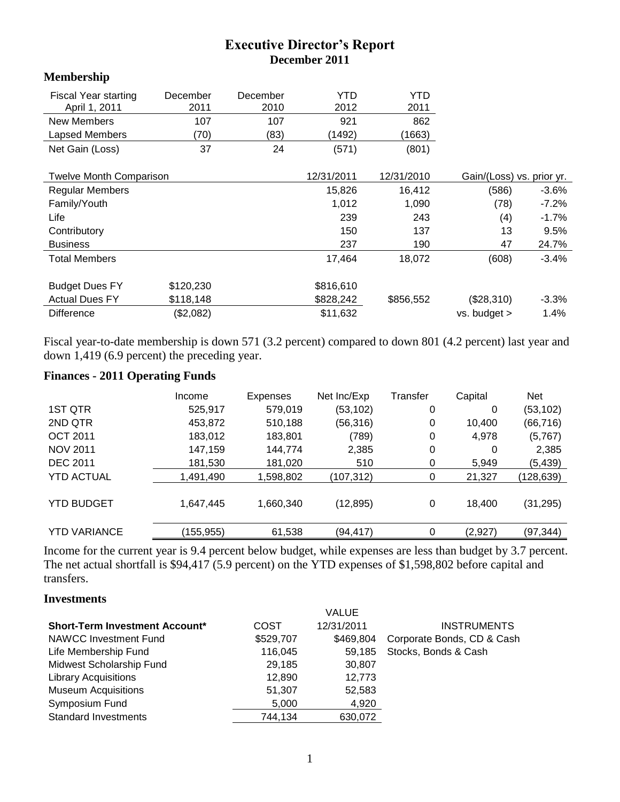# **Executive Director's Report December 2011**

#### **Membership**

| <b>Fiscal Year starting</b>    | December  | December | YTD        | <b>YTD</b> |                           |          |
|--------------------------------|-----------|----------|------------|------------|---------------------------|----------|
| April 1, 2011                  | 2011      | 2010     | 2012       | 2011       |                           |          |
| New Members                    | 107       | 107      | 921        | 862        |                           |          |
| Lapsed Members                 | (70)      | (83)     | (1492)     | (1663)     |                           |          |
| Net Gain (Loss)                | 37        | 24       | (571)      | (801)      |                           |          |
| <b>Twelve Month Comparison</b> |           |          | 12/31/2011 | 12/31/2010 | Gain/(Loss) vs. prior yr. |          |
| <b>Regular Members</b>         |           |          | 15,826     | 16,412     | (586)                     | -3.6%    |
| Family/Youth                   |           |          | 1,012      | 1,090      | (78)                      | $-7.2\%$ |
| Life                           |           |          | 239        | 243        | (4)                       | $-1.7%$  |
| Contributory                   |           |          | 150        | 137        | 13                        | 9.5%     |
| <b>Business</b>                |           |          | 237        | 190        | 47                        | 24.7%    |
| <b>Total Members</b>           |           |          | 17,464     | 18,072     | (608)                     | -3.4%    |
| <b>Budget Dues FY</b>          | \$120,230 |          | \$816,610  |            |                           |          |
| <b>Actual Dues FY</b>          | \$118,148 |          | \$828,242  | \$856,552  | (\$28,310)                | $-3.3\%$ |
| <b>Difference</b>              | (\$2,082) |          | \$11,632   |            | vs. budget >              | 1.4%     |

Fiscal year-to-date membership is down 571 (3.2 percent) compared to down 801 (4.2 percent) last year and down 1,419 (6.9 percent) the preceding year.

## **Finances - 2011 Operating Funds**

|                     | Income     | Expenses  | Net Inc/Exp | Transfer | Capital | <b>Net</b> |
|---------------------|------------|-----------|-------------|----------|---------|------------|
| 1ST QTR             | 525,917    | 579,019   | (53, 102)   | 0        | 0       | (53, 102)  |
| 2ND QTR             | 453,872    | 510,188   | (56, 316)   | 0        | 10,400  | (66, 716)  |
| <b>OCT 2011</b>     | 183,012    | 183,801   | (789)       | 0        | 4,978   | (5,767)    |
| <b>NOV 2011</b>     | 147,159    | 144,774   | 2,385       | 0        | 0       | 2,385      |
| <b>DEC 2011</b>     | 181,530    | 181,020   | 510         | 0        | 5,949   | (5,439)    |
| <b>YTD ACTUAL</b>   | 1,491,490  | 1,598,802 | (107, 312)  | 0        | 21,327  | (128, 639) |
| <b>YTD BUDGET</b>   | 1,647,445  | 1,660,340 | (12, 895)   | 0        | 18,400  | (31, 295)  |
| <b>YTD VARIANCE</b> | (155, 955) | 61,538    | (94, 417)   | 0        | (2,927) | (97,344)   |

Income for the current year is 9.4 percent below budget, while expenses are less than budget by 3.7 percent. The net actual shortfall is \$94,417 (5.9 percent) on the YTD expenses of \$1,598,802 before capital and transfers.

#### **Investments**

|           | <b>VALUE</b> |                            |
|-----------|--------------|----------------------------|
| COST      | 12/31/2011   | <b>INSTRUMENTS</b>         |
| \$529,707 | \$469.804    | Corporate Bonds, CD & Cash |
| 116,045   | 59.185       | Stocks, Bonds & Cash       |
| 29,185    | 30,807       |                            |
| 12.890    | 12.773       |                            |
| 51,307    | 52,583       |                            |
| 5,000     | 4,920        |                            |
| 744,134   | 630,072      |                            |
|           |              |                            |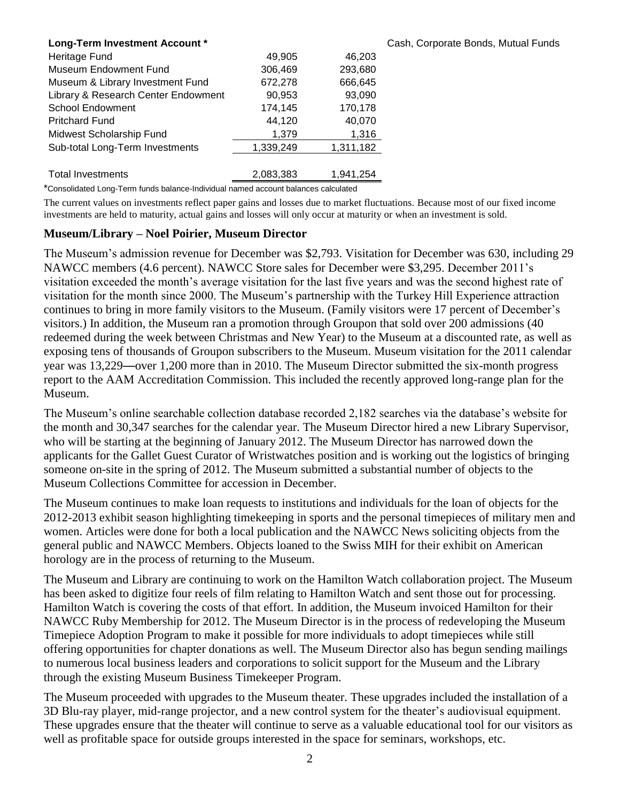| Long-Term Investment Account *      |           |           | Cash, Corporate |
|-------------------------------------|-----------|-----------|-----------------|
| Heritage Fund                       | 49,905    | 46,203    |                 |
| Museum Endowment Fund               | 306,469   | 293,680   |                 |
| Museum & Library Investment Fund    | 672,278   | 666,645   |                 |
| Library & Research Center Endowment | 90,953    | 93,090    |                 |
| <b>School Endowment</b>             | 174,145   | 170,178   |                 |
| <b>Pritchard Fund</b>               | 44,120    | 40,070    |                 |
| Midwest Scholarship Fund            | 1,379     | 1,316     |                 |
| Sub-total Long-Term Investments     | 1,339,249 | 1,311,182 |                 |
| <b>Total Investments</b>            | 2.083.383 | 1.941.254 |                 |

\*Consolidated Long-Term funds balance-Individual named account balances calculated

The current values on investments reflect paper gains and losses due to market fluctuations. Because most of our fixed income investments are held to maturity, actual gains and losses will only occur at maturity or when an investment is sold.

**Bonds, Mutual Funds** 

#### **Museum/Library – Noel Poirier, Museum Director**

The Museum's admission revenue for December was \$2,793. Visitation for December was 630, including 29 NAWCC members (4.6 percent). NAWCC Store sales for December were \$3,295. December 2011's visitation exceeded the month's average visitation for the last five years and was the second highest rate of visitation for the month since 2000. The Museum's partnership with the Turkey Hill Experience attraction continues to bring in more family visitors to the Museum. (Family visitors were 17 percent of December's visitors.) In addition, the Museum ran a promotion through Groupon that sold over 200 admissions (40 redeemed during the week between Christmas and New Year) to the Museum at a discounted rate, as well as exposing tens of thousands of Groupon subscribers to the Museum. Museum visitation for the 2011 calendar year was 13,229—over 1,200 more than in 2010. The Museum Director submitted the six-month progress report to the AAM Accreditation Commission. This included the recently approved long-range plan for the Museum.

The Museum's online searchable collection database recorded 2,182 searches via the database's website for the month and 30,347 searches for the calendar year. The Museum Director hired a new Library Supervisor, who will be starting at the beginning of January 2012. The Museum Director has narrowed down the applicants for the Gallet Guest Curator of Wristwatches position and is working out the logistics of bringing someone on-site in the spring of 2012. The Museum submitted a substantial number of objects to the Museum Collections Committee for accession in December.

The Museum continues to make loan requests to institutions and individuals for the loan of objects for the 2012-2013 exhibit season highlighting timekeeping in sports and the personal timepieces of military men and women. Articles were done for both a local publication and the NAWCC News soliciting objects from the general public and NAWCC Members. Objects loaned to the Swiss MIH for their exhibit on American horology are in the process of returning to the Museum.

The Museum and Library are continuing to work on the Hamilton Watch collaboration project. The Museum has been asked to digitize four reels of film relating to Hamilton Watch and sent those out for processing. Hamilton Watch is covering the costs of that effort. In addition, the Museum invoiced Hamilton for their NAWCC Ruby Membership for 2012. The Museum Director is in the process of redeveloping the Museum Timepiece Adoption Program to make it possible for more individuals to adopt timepieces while still offering opportunities for chapter donations as well. The Museum Director also has begun sending mailings to numerous local business leaders and corporations to solicit support for the Museum and the Library through the existing Museum Business Timekeeper Program.

The Museum proceeded with upgrades to the Museum theater. These upgrades included the installation of a 3D Blu-ray player, mid-range projector, and a new control system for the theater's audiovisual equipment. These upgrades ensure that the theater will continue to serve as a valuable educational tool for our visitors as well as profitable space for outside groups interested in the space for seminars, workshops, etc.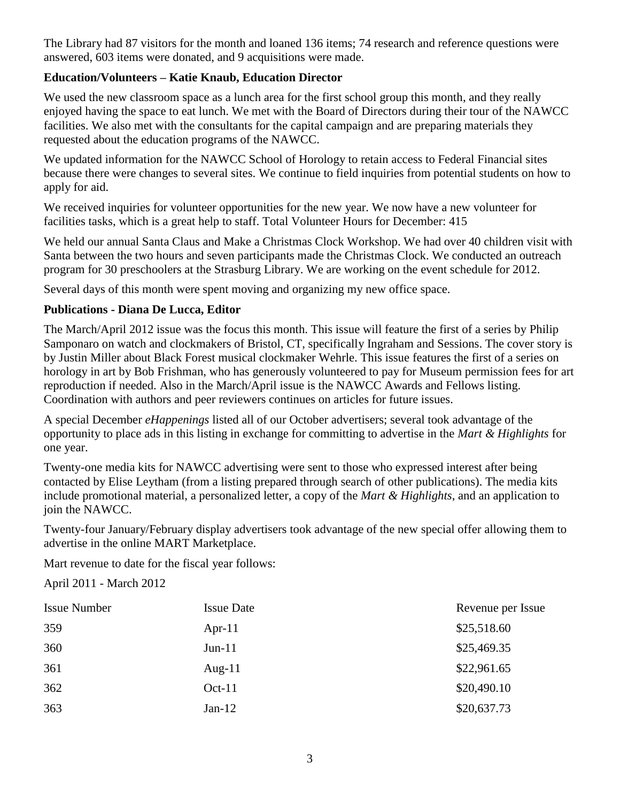The Library had 87 visitors for the month and loaned 136 items; 74 research and reference questions were answered, 603 items were donated, and 9 acquisitions were made.

## **Education/Volunteers – Katie Knaub, Education Director**

We used the new classroom space as a lunch area for the first school group this month, and they really enjoyed having the space to eat lunch. We met with the Board of Directors during their tour of the NAWCC facilities. We also met with the consultants for the capital campaign and are preparing materials they requested about the education programs of the NAWCC.

We updated information for the NAWCC School of Horology to retain access to Federal Financial sites because there were changes to several sites. We continue to field inquiries from potential students on how to apply for aid.

We received inquiries for volunteer opportunities for the new year. We now have a new volunteer for facilities tasks, which is a great help to staff. Total Volunteer Hours for December: 415

We held our annual Santa Claus and Make a Christmas Clock Workshop. We had over 40 children visit with Santa between the two hours and seven participants made the Christmas Clock. We conducted an outreach program for 30 preschoolers at the Strasburg Library. We are working on the event schedule for 2012.

Several days of this month were spent moving and organizing my new office space.

#### **Publications - Diana De Lucca, Editor**

The March/April 2012 issue was the focus this month. This issue will feature the first of a series by Philip Samponaro on watch and clockmakers of Bristol, CT, specifically Ingraham and Sessions. The cover story is by Justin Miller about Black Forest musical clockmaker Wehrle. This issue features the first of a series on horology in art by Bob Frishman, who has generously volunteered to pay for Museum permission fees for art reproduction if needed. Also in the March/April issue is the NAWCC Awards and Fellows listing. Coordination with authors and peer reviewers continues on articles for future issues.

A special December *eHappenings* listed all of our October advertisers; several took advantage of the opportunity to place ads in this listing in exchange for committing to advertise in the *Mart & Highlights* for one year.

Twenty-one media kits for NAWCC advertising were sent to those who expressed interest after being contacted by Elise Leytham (from a listing prepared through search of other publications). The media kits include promotional material, a personalized letter, a copy of the *Mart & Highlights*, and an application to join the NAWCC.

Twenty-four January/February display advertisers took advantage of the new special offer allowing them to advertise in the online MART Marketplace.

Mart revenue to date for the fiscal year follows:

April 2011 - March 2012

| <b>Issue Number</b> | <b>Issue Date</b> | Revenue per Issue |
|---------------------|-------------------|-------------------|
| 359                 | Apr-11            | \$25,518.60       |
| 360                 | $Jun-11$          | \$25,469.35       |
| 361                 | Aug- $11$         | \$22,961.65       |
| 362                 | $Oct-11$          | \$20,490.10       |
| 363                 | Jan- $12$         | \$20,637.73       |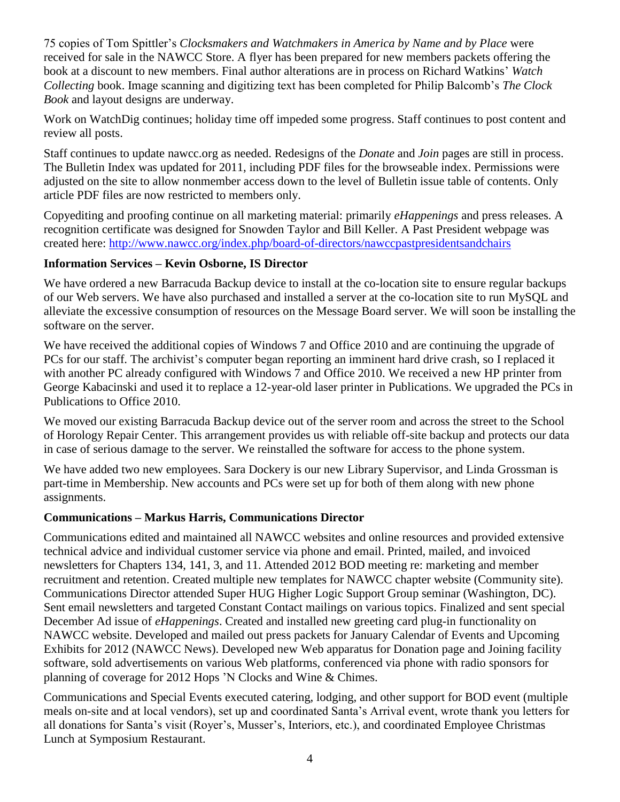75 copies of Tom Spittler's *Clocksmakers and Watchmakers in America by Name and by Place* were received for sale in the NAWCC Store. A flyer has been prepared for new members packets offering the book at a discount to new members. Final author alterations are in process on Richard Watkins' *Watch Collecting* book. Image scanning and digitizing text has been completed for Philip Balcomb's *The Clock Book* and layout designs are underway.

Work on WatchDig continues; holiday time off impeded some progress. Staff continues to post content and review all posts.

Staff continues to update nawcc.org as needed. Redesigns of the *Donate* and *Join* pages are still in process. The Bulletin Index was updated for 2011, including PDF files for the browseable index. Permissions were adjusted on the site to allow nonmember access down to the level of Bulletin issue table of contents. Only article PDF files are now restricted to members only.

Copyediting and proofing continue on all marketing material: primarily *eHappenings* and press releases. A recognition certificate was designed for Snowden Taylor and Bill Keller. A Past President webpage was created here:<http://www.nawcc.org/index.php/board-of-directors/nawccpastpresidentsandchairs>

## **Information Services – Kevin Osborne, IS Director**

We have ordered a new Barracuda Backup device to install at the co-location site to ensure regular backups of our Web servers. We have also purchased and installed a server at the co-location site to run MySQL and alleviate the excessive consumption of resources on the Message Board server. We will soon be installing the software on the server.

We have received the additional copies of Windows 7 and Office 2010 and are continuing the upgrade of PCs for our staff. The archivist's computer began reporting an imminent hard drive crash, so I replaced it with another PC already configured with Windows 7 and Office 2010. We received a new HP printer from George Kabacinski and used it to replace a 12-year-old laser printer in Publications. We upgraded the PCs in Publications to Office 2010.

We moved our existing Barracuda Backup device out of the server room and across the street to the School of Horology Repair Center. This arrangement provides us with reliable off-site backup and protects our data in case of serious damage to the server. We reinstalled the software for access to the phone system.

We have added two new employees. Sara Dockery is our new Library Supervisor, and Linda Grossman is part-time in Membership. New accounts and PCs were set up for both of them along with new phone assignments.

## **Communications – Markus Harris, Communications Director**

Communications edited and maintained all NAWCC websites and online resources and provided extensive technical advice and individual customer service via phone and email. Printed, mailed, and invoiced newsletters for Chapters 134, 141, 3, and 11. Attended 2012 BOD meeting re: marketing and member recruitment and retention. Created multiple new templates for NAWCC chapter website (Community site). Communications Director attended Super HUG Higher Logic Support Group seminar (Washington, DC). Sent email newsletters and targeted Constant Contact mailings on various topics. Finalized and sent special December Ad issue of *eHappenings*. Created and installed new greeting card plug-in functionality on NAWCC website. Developed and mailed out press packets for January Calendar of Events and Upcoming Exhibits for 2012 (NAWCC News). Developed new Web apparatus for Donation page and Joining facility software, sold advertisements on various Web platforms, conferenced via phone with radio sponsors for planning of coverage for 2012 Hops 'N Clocks and Wine & Chimes.

Communications and Special Events executed catering, lodging, and other support for BOD event (multiple meals on-site and at local vendors), set up and coordinated Santa's Arrival event, wrote thank you letters for all donations for Santa's visit (Royer's, Musser's, Interiors, etc.), and coordinated Employee Christmas Lunch at Symposium Restaurant.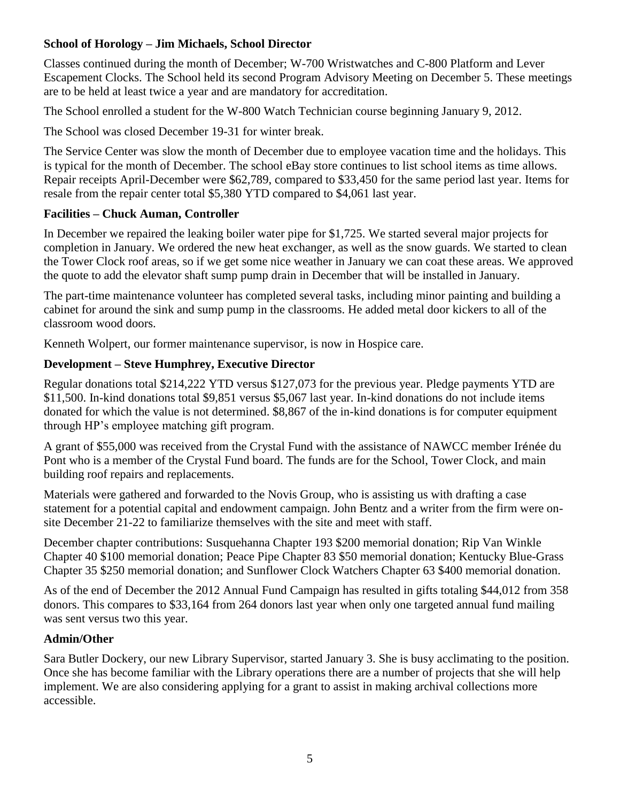# **School of Horology – Jim Michaels, School Director**

Classes continued during the month of December; W-700 Wristwatches and C-800 Platform and Lever Escapement Clocks. The School held its second Program Advisory Meeting on December 5. These meetings are to be held at least twice a year and are mandatory for accreditation.

The School enrolled a student for the W-800 Watch Technician course beginning January 9, 2012.

The School was closed December 19-31 for winter break.

The Service Center was slow the month of December due to employee vacation time and the holidays. This is typical for the month of December. The school eBay store continues to list school items as time allows. Repair receipts April-December were \$62,789, compared to \$33,450 for the same period last year. Items for resale from the repair center total \$5,380 YTD compared to \$4,061 last year.

## **Facilities – Chuck Auman, Controller**

In December we repaired the leaking boiler water pipe for \$1,725. We started several major projects for completion in January. We ordered the new heat exchanger, as well as the snow guards. We started to clean the Tower Clock roof areas, so if we get some nice weather in January we can coat these areas. We approved the quote to add the elevator shaft sump pump drain in December that will be installed in January.

The part-time maintenance volunteer has completed several tasks, including minor painting and building a cabinet for around the sink and sump pump in the classrooms. He added metal door kickers to all of the classroom wood doors.

Kenneth Wolpert, our former maintenance supervisor, is now in Hospice care.

## **Development – Steve Humphrey, Executive Director**

Regular donations total \$214,222 YTD versus \$127,073 for the previous year. Pledge payments YTD are \$11,500. In-kind donations total \$9,851 versus \$5,067 last year. In-kind donations do not include items donated for which the value is not determined. \$8,867 of the in-kind donations is for computer equipment through HP's employee matching gift program.

A grant of \$55,000 was received from the Crystal Fund with the assistance of NAWCC member Irénée du Pont who is a member of the Crystal Fund board. The funds are for the School, Tower Clock, and main building roof repairs and replacements.

Materials were gathered and forwarded to the Novis Group, who is assisting us with drafting a case statement for a potential capital and endowment campaign. John Bentz and a writer from the firm were onsite December 21-22 to familiarize themselves with the site and meet with staff.

December chapter contributions: Susquehanna Chapter 193 \$200 memorial donation; Rip Van Winkle Chapter 40 \$100 memorial donation; Peace Pipe Chapter 83 \$50 memorial donation; Kentucky Blue-Grass Chapter 35 \$250 memorial donation; and Sunflower Clock Watchers Chapter 63 \$400 memorial donation.

As of the end of December the 2012 Annual Fund Campaign has resulted in gifts totaling \$44,012 from 358 donors. This compares to \$33,164 from 264 donors last year when only one targeted annual fund mailing was sent versus two this year.

## **Admin/Other**

Sara Butler Dockery, our new Library Supervisor, started January 3. She is busy acclimating to the position. Once she has become familiar with the Library operations there are a number of projects that she will help implement. We are also considering applying for a grant to assist in making archival collections more accessible.